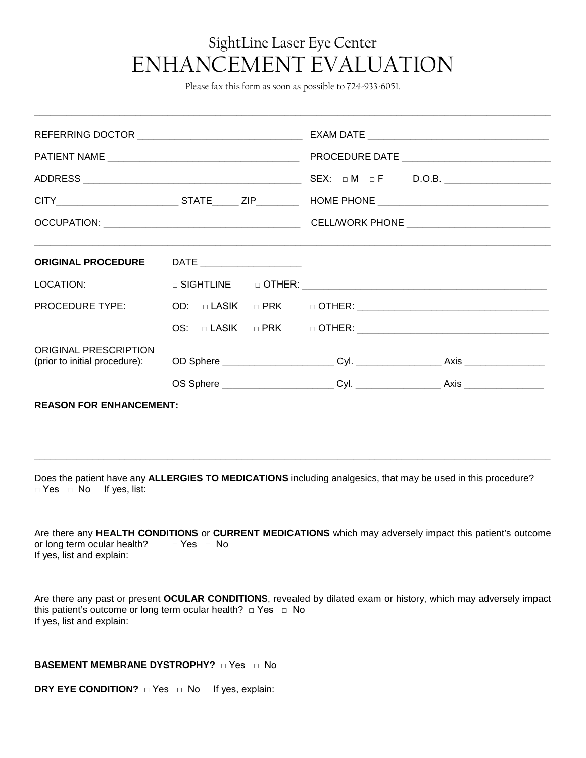## SightLine Laser Eye Center ENHANCEMENT EVALUATION

Please fax this form as soon as possible to 724-933-6051.

 $\Box$  . The contribution of the contribution of the contribution of the contribution of the contribution of the contribution of the contribution of the contribution of the contribution of the contribution of the contributi

|                                                               |                                                                                  | SEX: $\Box M$ $\Box F$ D.O.B. |
|---------------------------------------------------------------|----------------------------------------------------------------------------------|-------------------------------|
|                                                               |                                                                                  |                               |
|                                                               |                                                                                  |                               |
|                                                               | ORIGINAL PROCEDURE DATE _________________                                        |                               |
| LOCATION: <b>All and Security</b>                             |                                                                                  |                               |
| PROCEDURE TYPE:                                               |                                                                                  |                               |
|                                                               |                                                                                  |                               |
| <b>ORIGINAL PRESCRIPTION</b><br>(prior to initial procedure): |                                                                                  |                               |
|                                                               | OS Sphere ______________________________Cyl. ___________________________________ | Axis ____________________     |
| <b>REASON FOR ENHANCEMENT:</b>                                |                                                                                  |                               |

Does the patient have any **ALLERGIES TO MEDICATIONS** including analgesics, that may be used in this procedure? □ Yes □ No If yes, list:

**\_\_\_\_\_\_\_\_\_\_\_\_\_\_\_\_\_\_\_\_\_\_\_\_\_\_\_\_\_\_\_\_\_\_\_\_\_\_\_\_\_\_\_\_\_\_\_\_\_\_\_\_\_\_\_\_\_\_\_\_\_\_\_\_\_\_\_\_\_\_\_\_\_\_\_\_\_\_\_\_\_\_\_\_\_\_\_\_\_\_\_\_\_\_\_\_\_**

| Are there any HEALTH CONDITIONS or CURRENT MEDICATIONS which may adversely impact this patient's outcome |            |  |  |  |
|----------------------------------------------------------------------------------------------------------|------------|--|--|--|
| or long term ocular health?                                                                              | ⊓ Yes ⊓ No |  |  |  |
| If yes, list and explain:                                                                                |            |  |  |  |

Are there any past or present **OCULAR CONDITIONS**, revealed by dilated exam or history, which may adversely impact this patient's outcome or long term ocular health? □ Yes □ No If yes, list and explain:

## **BASEMENT MEMBRANE DYSTROPHY?** □ Yes □ No

**DRY EYE CONDITION?** □ Yes □ No If yes, explain: